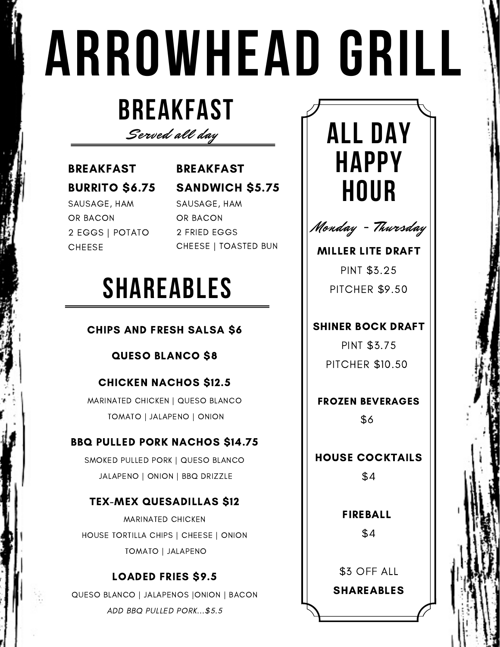# **ARROWHEAD GRILL**

## **BREAKFAST**

Served all day

### BREAKFAST BURRITO \$6.75

SAUSAGE, HAM OR BACON 2 EGGS | POTATO CHEESE

### BREAKFAST SANDWICH \$5.75 SAUSAGE, HAM OR BACON 2 FRIED EGGS CHEESE | TOASTED BUN

### **SHAREABLES**

### CHIPS AND FRESH SALSA \$6

### QUESO BLANCO \$8

### CHICKEN NACHOS \$12.5

MARINATED CHICKEN | QUESO BLANCO TOMATO | JALAPENO | ONION

### BBQ PULLED PORK NACHOS \$14.75

SMOKED PULLED PORK | QUESO BLANCO JALAPENO | ONION | BBQ DRIZZLE

### TEX-MEX QUESADILLAS \$12

MARINATED CHICKEN HOUSE TORTILLA CHIPS | CHEESE | ONION TOMATO | JALAPENO

### LOADED FRIES \$9.5

QUESO BLANCO | JALAPENOS |ONION | BACON ADD BBQ PULLED PORK...\$5.5





MILLER LITE DRAFT PINT \$3.25 PITCHER \$9.50

### SHINER BOCK DRAFT

PINT \$3.75 PITCHER \$10.50

FROZEN BEVERAGES \$6

### HOUSE COCKTAILS

 $$4$ 

FIREBALL

\$4

\$3 OFF ALL

SHAREABLES